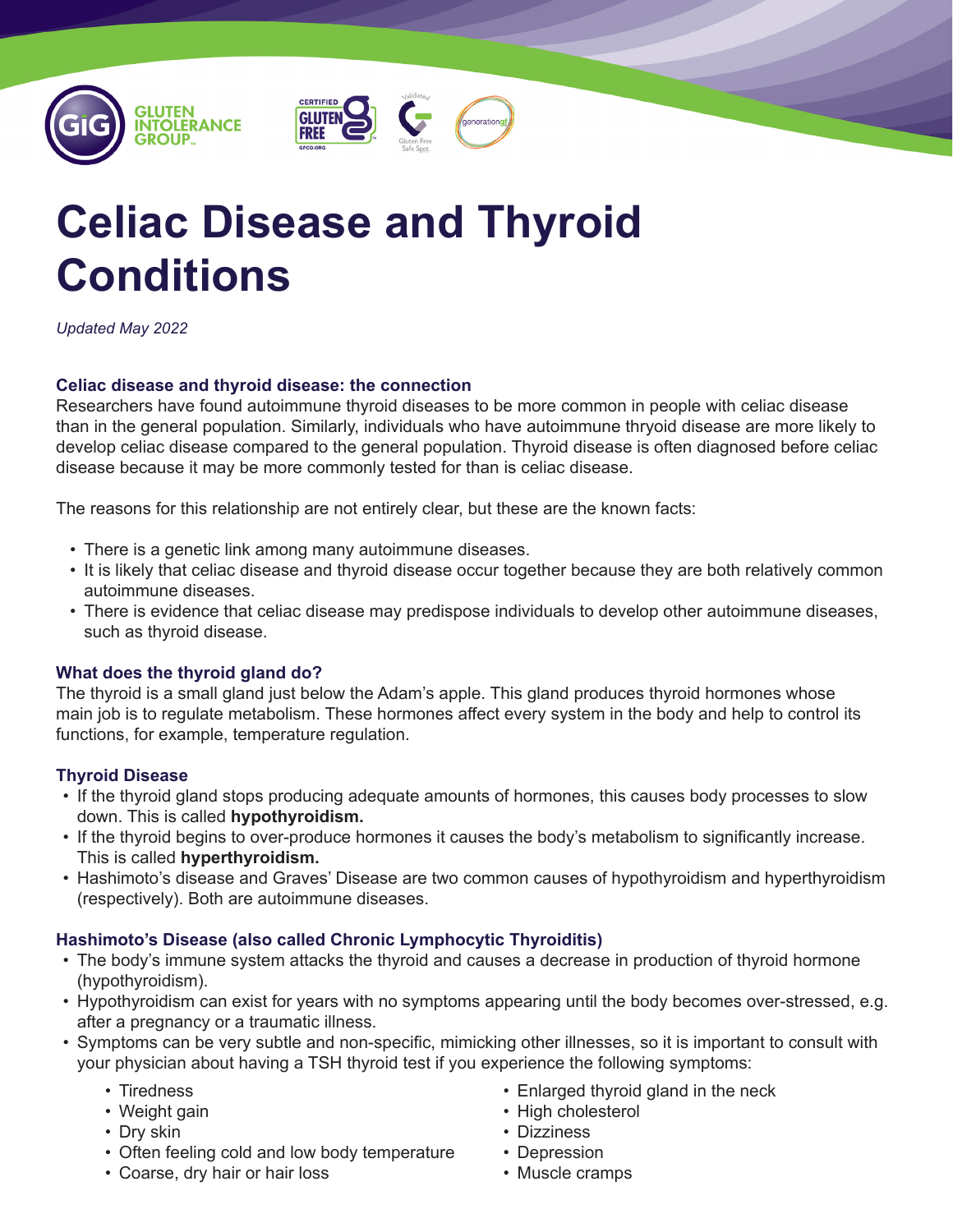





# **Celiac Disease and Thyroid Conditions**

*Updated May 2022*

#### **Celiac disease and thyroid disease: the connection**

Researchers have found autoimmune thyroid diseases to be more common in people with celiac disease than in the general population. Similarly, individuals who have autoimmune thryoid disease are more likely to develop celiac disease compared to the general population. Thyroid disease is often diagnosed before celiac disease because it may be more commonly tested for than is celiac disease.

The reasons for this relationship are not entirely clear, but these are the known facts:

- There is a genetic link among many autoimmune diseases.
- It is likely that celiac disease and thyroid disease occur together because they are both relatively common autoimmune diseases.
- There is evidence that celiac disease may predispose individuals to develop other autoimmune diseases, such as thyroid disease.

#### **What does the thyroid gland do?**

The thyroid is a small gland just below the Adam's apple. This gland produces thyroid hormones whose main job is to regulate metabolism. These hormones affect every system in the body and help to control its functions, for example, temperature regulation.

#### **Thyroid Disease**

- If the thyroid gland stops producing adequate amounts of hormones, this causes body processes to slow down. This is called **hypothyroidism.**
- If the thyroid begins to over-produce hormones it causes the body's metabolism to significantly increase. This is called **hyperthyroidism.**
- Hashimoto's disease and Graves' Disease are two common causes of hypothyroidism and hyperthyroidism (respectively). Both are autoimmune diseases.

## **Hashimoto's Disease (also called Chronic Lymphocytic Thyroiditis)**

- The body's immune system attacks the thyroid and causes a decrease in production of thyroid hormone (hypothyroidism).
- Hypothyroidism can exist for years with no symptoms appearing until the body becomes over-stressed, e.g. after a pregnancy or a traumatic illness.
- Symptoms can be very subtle and non-specific, mimicking other illnesses, so it is important to consult with your physician about having a TSH thyroid test if you experience the following symptoms:
	- Tiredness
	- Weight gain
	- Dry skin
	- Often feeling cold and low body temperature
	- Coarse, dry hair or hair loss
- Enlarged thyroid gland in the neck
- High cholesterol
- Dizziness
- Depression
- Muscle cramps